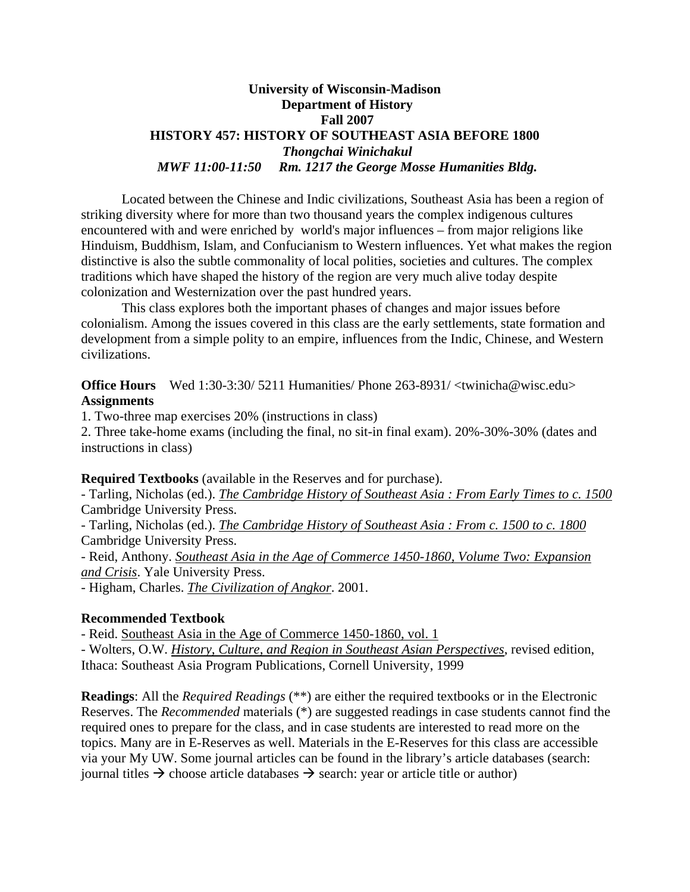### **University of Wisconsin-Madison Department of History Fall 2007 HISTORY 457: HISTORY OF SOUTHEAST ASIA BEFORE 1800**  *Thongchai Winichakul MWF 11:00-11:50 Rm. 1217 the George Mosse Humanities Bldg.*

 Located between the Chinese and Indic civilizations, Southeast Asia has been a region of striking diversity where for more than two thousand years the complex indigenous cultures encountered with and were enriched by world's major influences – from major religions like Hinduism, Buddhism, Islam, and Confucianism to Western influences. Yet what makes the region distinctive is also the subtle commonality of local polities, societies and cultures. The complex traditions which have shaped the history of the region are very much alive today despite colonization and Westernization over the past hundred years.

 This class explores both the important phases of changes and major issues before colonialism. Among the issues covered in this class are the early settlements, state formation and development from a simple polity to an empire, influences from the Indic, Chinese, and Western civilizations.

**Office Hours** Wed 1:30-3:30/ 5211 Humanities/ Phone 263-8931/ <twinicha@wisc.edu> **Assignments**

1. Two-three map exercises 20% (instructions in class)

2. Three take-home exams (including the final, no sit-in final exam). 20%-30%-30% (dates and instructions in class)

**Required Textbooks** (available in the Reserves and for purchase).

- Tarling, Nicholas (ed.). *The Cambridge History of Southeast Asia : From Early Times to c. 1500* Cambridge University Press.

- Tarling, Nicholas (ed.). *The Cambridge History of Southeast Asia : From c. 1500 to c. 1800* Cambridge University Press.

- Reid, Anthony. *Southeast Asia in the Age of Commerce 1450-1860, Volume Two: Expansion and Crisis*. Yale University Press.

- Higham, Charles. *The Civilization of Angkor*. 2001.

### **Recommended Textbook**

- Reid. Southeast Asia in the Age of Commerce 1450-1860, vol. 1

- Wolters, O.W. *History, Culture, and Region in Southeast Asian Perspectives*, revised edition, Ithaca: Southeast Asia Program Publications, Cornell University, 1999

**Readings**: All the *Required Readings* (\*\*) are either the required textbooks or in the Electronic Reserves. The *Recommended* materials (\*) are suggested readings in case students cannot find the required ones to prepare for the class, and in case students are interested to read more on the topics. Many are in E-Reserves as well. Materials in the E-Reserves for this class are accessible via your My UW. Some journal articles can be found in the library's article databases (search: journal titles  $\rightarrow$  choose article databases  $\rightarrow$  search: year or article title or author)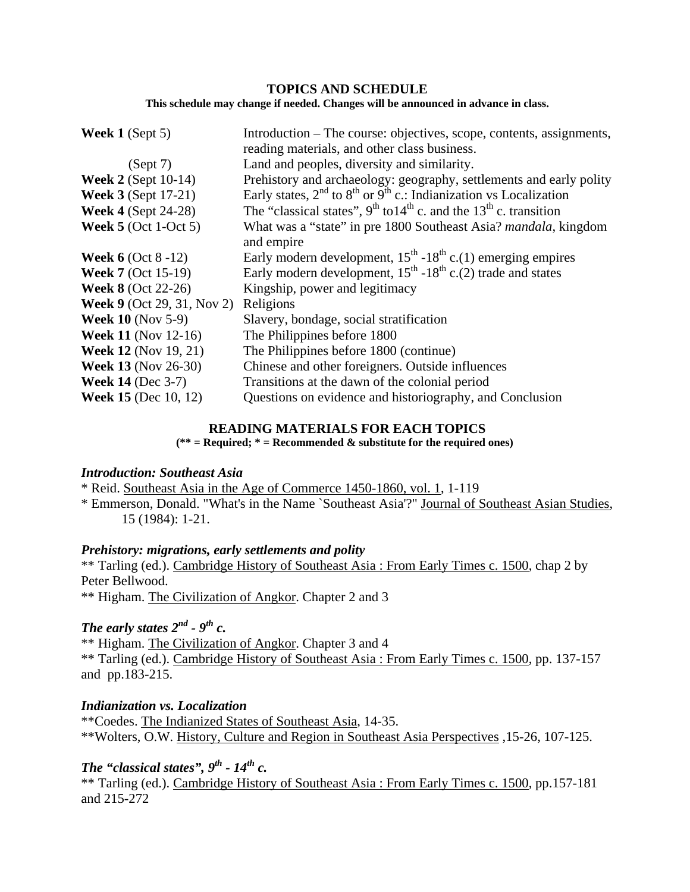### **TOPICS AND SCHEDULE**

**This schedule may change if needed. Changes will be announced in advance in class.** 

| Week $1$ (Sept 5)                 | Introduction – The course: objectives, scope, contents, assignments,             |
|-----------------------------------|----------------------------------------------------------------------------------|
|                                   | reading materials, and other class business.                                     |
| (Sept 7)                          | Land and peoples, diversity and similarity.                                      |
| <b>Week 2</b> (Sept $10-14$ )     | Prehistory and archaeology: geography, settlements and early polity              |
| <b>Week 3</b> (Sept 17-21)        | Early states, $2^{nd}$ to $8^{th}$ or $9^{th}$ c.: Indianization vs Localization |
| <b>Week 4 (Sept 24-28)</b>        | The "classical states", $9^{th}$ to $14^{th}$ c. and the $13^{th}$ c. transition |
| Week $5$ (Oct 1-Oct 5)            | What was a "state" in pre 1800 Southeast Asia? mandala, kingdom<br>and empire    |
| <b>Week 6</b> (Oct $8 - 12$ )     | Early modern development, $15^{th}$ -18 <sup>th</sup> c.(1) emerging empires     |
| <b>Week 7</b> (Oct 15-19)         | Early modern development, $15th - 18th$ c.(2) trade and states                   |
| <b>Week 8 (Oct 22-26)</b>         | Kingship, power and legitimacy                                                   |
| <b>Week 9</b> (Oct 29, 31, Nov 2) | Religions                                                                        |
| <b>Week 10 (Nov 5-9)</b>          | Slavery, bondage, social stratification                                          |
| <b>Week 11</b> (Nov 12-16)        | The Philippines before 1800                                                      |
| <b>Week 12 (Nov 19, 21)</b>       | The Philippines before 1800 (continue)                                           |
| <b>Week 13 (Nov 26-30)</b>        | Chinese and other foreigners. Outside influences                                 |
| <b>Week 14 (Dec 3-7)</b>          | Transitions at the dawn of the colonial period                                   |
| <b>Week 15</b> (Dec 10, 12)       | Questions on evidence and historiography, and Conclusion                         |

### **READING MATERIALS FOR EACH TOPICS**

**(\*\* = Required; \* = Recommended & substitute for the required ones)** 

### *Introduction: Southeast Asia*

\* Reid. Southeast Asia in the Age of Commerce 1450-1860, vol. 1, 1-119

\* Emmerson, Donald. "What's in the Name `Southeast Asia'?" Journal of Southeast Asian Studies, 15 (1984): 1-21.

### *Prehistory: migrations, early settlements and polity*

\*\* Tarling (ed.). Cambridge History of Southeast Asia : From Early Times c. 1500, chap 2 by Peter Bellwood.

\*\* Higham. The Civilization of Angkor. Chapter 2 and 3

## *The early states*  $2^{nd}$  -  $9^{th}$  c.

\*\* Higham. The Civilization of Angkor. Chapter 3 and 4 \*\* Tarling (ed.). Cambridge History of Southeast Asia : From Early Times c. 1500, pp. 137-157 and pp.183-215.

*Indianization vs. Localization*

\*\*Coedes. The Indianized States of Southeast Asia, 14-35. \*\*Wolters, O.W. History, Culture and Region in Southeast Asia Perspectives ,15-26, 107-125.

# *The "classical states", 9<sup>th</sup> - 14<sup>th</sup> c.*

\*\* Tarling (ed.). Cambridge History of Southeast Asia : From Early Times c. 1500, pp.157-181 and 215-272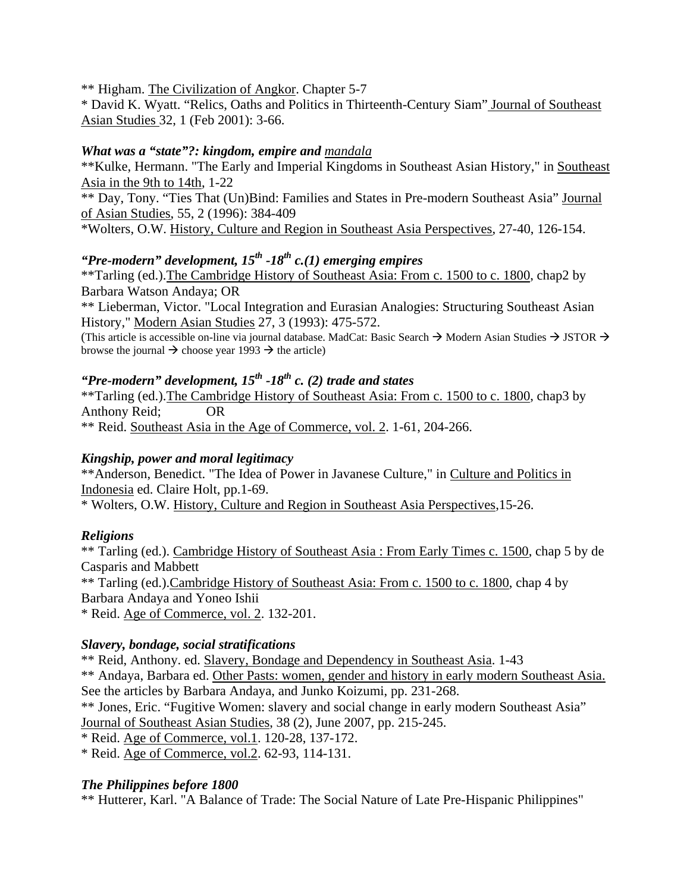\*\* Higham. The Civilization of Angkor. Chapter 5-7

\* David K. Wyatt. "Relics, Oaths and Politics in Thirteenth-Century Siam" Journal of Southeast Asian Studies 32, 1 (Feb 2001): 3-66.

## *What was a "state"?: kingdom, empire and mandala*

\*\*Kulke, Hermann. "The Early and Imperial Kingdoms in Southeast Asian History," in Southeast Asia in the 9th to 14th, 1-22

\*\* Day, Tony. "Ties That (Un)Bind: Families and States in Pre-modern Southeast Asia" Journal of Asian Studies, 55, 2 (1996): 384-409

\*Wolters, O.W. History, Culture and Region in Southeast Asia Perspectives, 27-40, 126-154.

# *"Pre-modern" development, 15th -18th c.(1) emerging empires*

\*\*Tarling (ed.).The Cambridge History of Southeast Asia: From c. 1500 to c. 1800, chap2 by Barbara Watson Andaya; OR

\*\* Lieberman, Victor. "Local Integration and Eurasian Analogies: Structuring Southeast Asian History," Modern Asian Studies 27, 3 (1993): 475-572.

(This article is accessible on-line via journal database. MadCat: Basic Search  $\rightarrow$  Modern Asian Studies  $\rightarrow$  JSTOR  $\rightarrow$ browse the journal  $\rightarrow$  choose year 1993  $\rightarrow$  the article)

# *"Pre-modern" development, 15th -18th c. (2) trade and states*

\*\*Tarling (ed.).The Cambridge History of Southeast Asia: From c. 1500 to c. 1800, chap3 by Anthony Reid; OR

\*\* Reid. Southeast Asia in the Age of Commerce, vol. 2. 1-61, 204-266.

## *Kingship, power and moral legitimacy*

\*\*Anderson, Benedict. "The Idea of Power in Javanese Culture," in Culture and Politics in Indonesia ed. Claire Holt, pp.1-69.

\* Wolters, O.W. History, Culture and Region in Southeast Asia Perspectives,15-26.

## *Religions*

\*\* Tarling (ed.). Cambridge History of Southeast Asia : From Early Times c. 1500, chap 5 by de Casparis and Mabbett \*\* Tarling (ed.).Cambridge History of Southeast Asia: From c. 1500 to c. 1800, chap 4 by Barbara Andaya and Yoneo Ishii

\* Reid. Age of Commerce, vol. 2. 132-201.

## *Slavery, bondage, social stratifications*

\*\* Reid, Anthony. ed. Slavery, Bondage and Dependency in Southeast Asia. 1-43 \*\* Andaya, Barbara ed. Other Pasts: women, gender and history in early modern Southeast Asia. See the articles by Barbara Andaya, and Junko Koizumi, pp. 231-268. \*\* Jones, Eric. "Fugitive Women: slavery and social change in early modern Southeast Asia" Journal of Southeast Asian Studies, 38 (2), June 2007, pp. 215-245. \* Reid. Age of Commerce, vol.1. 120-28, 137-172.

\* Reid. Age of Commerce, vol.2. 62-93, 114-131.

## *The Philippines before 1800*

\*\* Hutterer, Karl. "A Balance of Trade: The Social Nature of Late Pre-Hispanic Philippines"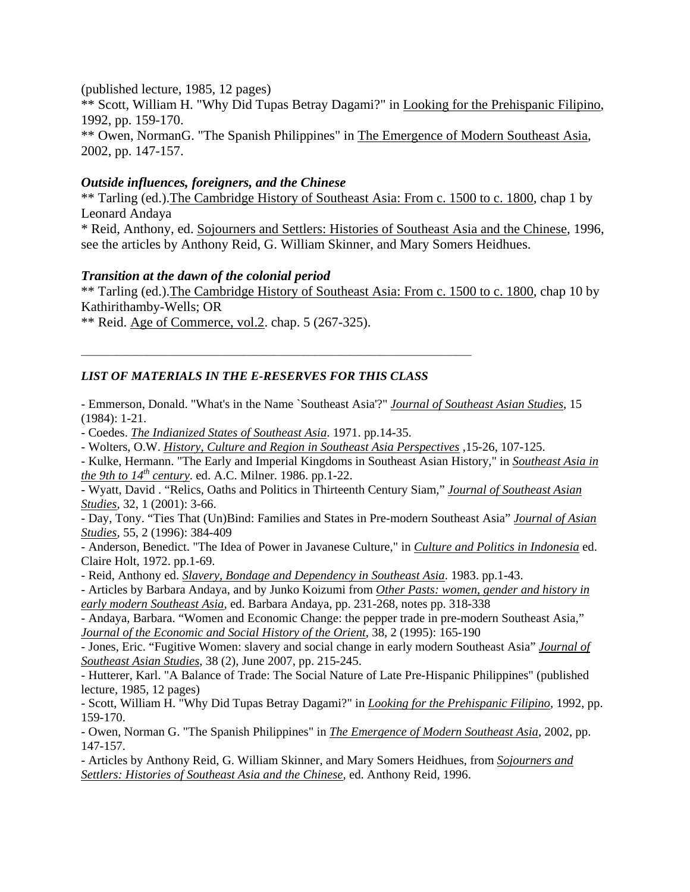(published lecture, 1985, 12 pages) \*\* Scott, William H. "Why Did Tupas Betray Dagami?" in Looking for the Prehispanic Filipino, 1992, pp. 159-170. \*\* Owen, NormanG. "The Spanish Philippines" in The Emergence of Modern Southeast Asia, 2002, pp. 147-157.

### *Outside influences, foreigners, and the Chinese*

\*\* Tarling (ed.).The Cambridge History of Southeast Asia: From c. 1500 to c. 1800, chap 1 by Leonard Andaya

\* Reid, Anthony, ed. Sojourners and Settlers: Histories of Southeast Asia and the Chinese, 1996, see the articles by Anthony Reid, G. William Skinner, and Mary Somers Heidhues.

#### *Transition at the dawn of the colonial period*

\*\* Tarling (ed.).The Cambridge History of Southeast Asia: From c. 1500 to c. 1800, chap 10 by Kathirithamby-Wells; OR

\*\* Reid. Age of Commerce, vol.2. chap. 5 (267-325).

#### *LIST OF MATERIALS IN THE E-RESERVES FOR THIS CLASS*

 $\overline{\phantom{a}}$  , and the contribution of the contribution of the contribution of the contribution of the contribution of the contribution of the contribution of the contribution of the contribution of the contribution of the

- Emmerson, Donald. "What's in the Name `Southeast Asia'?" *Journal of Southeast Asian Studies*, 15 (1984): 1-21.

- Coedes. *The Indianized States of Southeast Asia*. 1971. pp.14-35.

- Wolters, O.W. *History, Culture and Region in Southeast Asia Perspectives* ,15-26, 107-125.

- Kulke, Hermann. "The Early and Imperial Kingdoms in Southeast Asian History," in *Southeast Asia in the 9th to*  $14<sup>th</sup>$  *century*. ed. A.C. Milner. 1986. pp.1-22.

- Wyatt, David . "Relics, Oaths and Politics in Thirteenth Century Siam," *Journal of Southeast Asian Studies*, 32, 1 (2001): 3-66.

- Day, Tony. "Ties That (Un)Bind: Families and States in Pre-modern Southeast Asia" *Journal of Asian Studies*, 55, 2 (1996): 384-409

- Anderson, Benedict. "The Idea of Power in Javanese Culture," in *Culture and Politics in Indonesia* ed. Claire Holt, 1972. pp.1-69.

- Reid, Anthony ed. *Slavery, Bondage and Dependency in Southeast Asia*. 1983. pp.1-43.

- Articles by Barbara Andaya, and by Junko Koizumi from *Other Pasts: women, gender and history in early modern Southeast Asia*, ed. Barbara Andaya, pp. 231-268, notes pp. 318-338

- Andaya, Barbara. "Women and Economic Change: the pepper trade in pre-modern Southeast Asia," *Journal of the Economic and Social History of the Orient*, 38, 2 (1995): 165-190

- Jones, Eric. "Fugitive Women: slavery and social change in early modern Southeast Asia" *Journal of Southeast Asian Studies*, 38 (2), June 2007, pp. 215-245.

- Hutterer, Karl. "A Balance of Trade: The Social Nature of Late Pre-Hispanic Philippines" (published lecture, 1985, 12 pages)

- Scott, William H. "Why Did Tupas Betray Dagami?" in *Looking for the Prehispanic Filipino*, 1992, pp. 159-170.

- Owen, Norman G. "The Spanish Philippines" in *The Emergence of Modern Southeast Asia*, 2002, pp. 147-157.

- Articles by Anthony Reid, G. William Skinner, and Mary Somers Heidhues, from *Sojourners and Settlers: Histories of Southeast Asia and the Chinese*, ed. Anthony Reid, 1996.